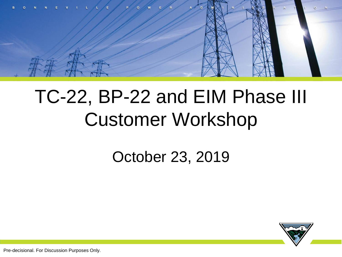

## TC-22, BP-22 and EIM Phase III Customer Workshop

#### October 23, 2019



Pre-decisional. For Discussion Purposes Only.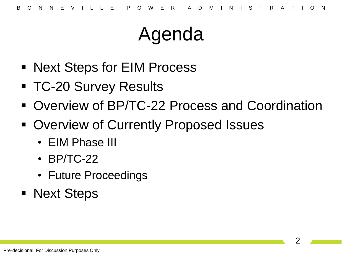## Agenda

- Next Steps for EIM Process
- **TC-20 Survey Results**
- Overview of BP/TC-22 Process and Coordination
- **Overview of Currently Proposed Issues** 
	- EIM Phase III
	- BP/TC-22
	- Future Proceedings
- Next Steps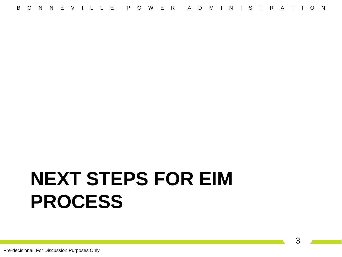## **NEXT STEPS FOR EIM PROCESS**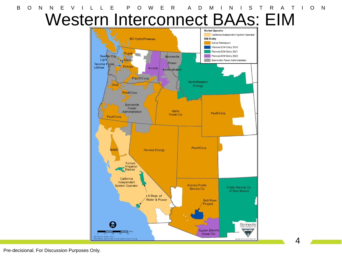

Pre-decisional. For Discussion Purposes Only.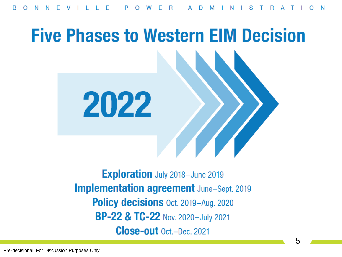# **Five Phases to Western EIM Decision** 2022

**Exploration** July 2018-June 2019 **Implementation agreement** June-Sept. 2019 **Policy decisions** Oct. 2019–Aug. 2020 BP-22 & TC-22 Nov. 2020-July 2021 **Close-out** Oct.-Dec. 2021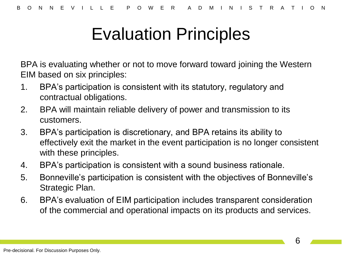#### Evaluation Principles

BPA is evaluating whether or not to move forward toward joining the Western EIM based on six principles:

- 1. BPA's participation is consistent with its statutory, regulatory and contractual obligations.
- 2. BPA will maintain reliable delivery of power and transmission to its customers.
- 3. BPA's participation is discretionary, and BPA retains its ability to effectively exit the market in the event participation is no longer consistent with these principles.
- 4. BPA's participation is consistent with a sound business rationale.
- 5. Bonneville's participation is consistent with the objectives of Bonneville's Strategic Plan.
- 6. BPA's evaluation of EIM participation includes transparent consideration of the commercial and operational impacts on its products and services.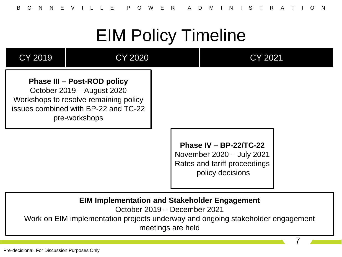#### EIM Policy Timeline



7

Pre-decisional. For Discussion Purposes Only.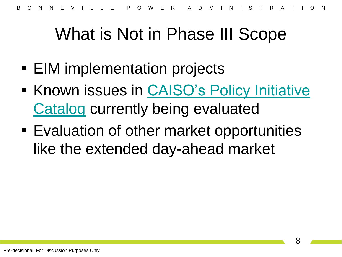#### What is Not in Phase III Scope

- EIM implementation projects
- **Known issues in CAISO's Policy Initiative [Catalog](http://www.caiso.com/informed/Pages/StakeholderProcesses/AnnualPolicyInitiativesRoadmapProcess.aspx) currently being evaluated**
- Evaluation of other market opportunities like the extended day-ahead market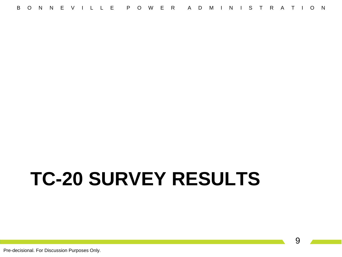# **TC-20 SURVEY RESULTS**

Pre-decisional. For Discussion Purposes Only.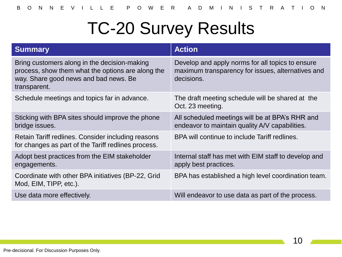#### TC-20 Survey Results

| <b>Summary</b>                                                                                                                                             | <b>Action</b>                                                                                                       |
|------------------------------------------------------------------------------------------------------------------------------------------------------------|---------------------------------------------------------------------------------------------------------------------|
| Bring customers along in the decision-making<br>process, show them what the options are along the<br>way. Share good news and bad news. Be<br>transparent. | Develop and apply norms for all topics to ensure<br>maximum transparency for issues, alternatives and<br>decisions. |
| Schedule meetings and topics far in advance.                                                                                                               | The draft meeting schedule will be shared at the<br>Oct. 23 meeting.                                                |
| Sticking with BPA sites should improve the phone<br>bridge issues.                                                                                         | All scheduled meetings will be at BPA's RHR and<br>endeavor to maintain quality A/V capabilities.                   |
| Retain Tariff redlines. Consider including reasons<br>for changes as part of the Tariff redlines process.                                                  | BPA will continue to include Tariff redlines.                                                                       |
| Adopt best practices from the EIM stakeholder<br>engagements.                                                                                              | Internal staff has met with EIM staff to develop and<br>apply best practices.                                       |
| Coordinate with other BPA initiatives (BP-22, Grid<br>Mod, EIM, TIPP, etc.).                                                                               | BPA has established a high level coordination team.                                                                 |
| Use data more effectively.                                                                                                                                 | Will endeavor to use data as part of the process.                                                                   |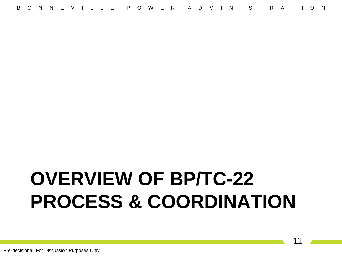## **OVERVIEW OF BP/TC-22 PROCESS & COORDINATION**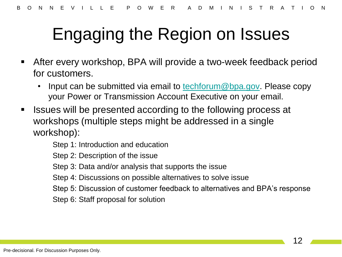#### Engaging the Region on Issues

- After every workshop, BPA will provide a two-week feedback period for customers.
	- Input can be submitted via email to [techforum@bpa.gov.](mailto:techforum@bpa.gov) Please copy your Power or Transmission Account Executive on your email.
- Issues will be presented according to the following process at workshops (multiple steps might be addressed in a single workshop):

Step 1: Introduction and education

Step 2: Description of the issue

Step 3: Data and/or analysis that supports the issue

- Step 4: Discussions on possible alternatives to solve issue
- Step 5: Discussion of customer feedback to alternatives and BPA's response
- Step 6: Staff proposal for solution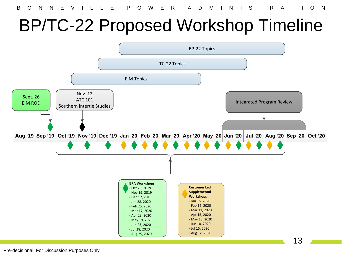#### BP/TC-22 Proposed Workshop Timeline



Pre-decisional. For Discussion Purposes Only.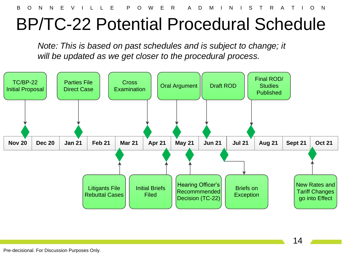B O N N E V I L L E P O W E R A D M I N I S T R A T I O N

#### BP/TC-22 Potential Procedural Schedule

*Note: This is based on past schedules and is subject to change; it will be updated as we get closer to the procedural process.*

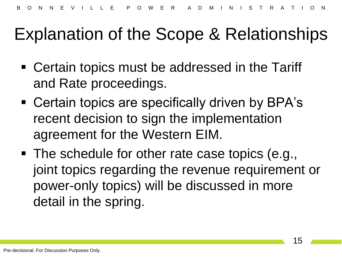#### Explanation of the Scope & Relationships

- Certain topics must be addressed in the Tariff and Rate proceedings.
- Certain topics are specifically driven by BPA's recent decision to sign the implementation agreement for the Western EIM.
- The schedule for other rate case topics (e.g., joint topics regarding the revenue requirement or power-only topics) will be discussed in more detail in the spring.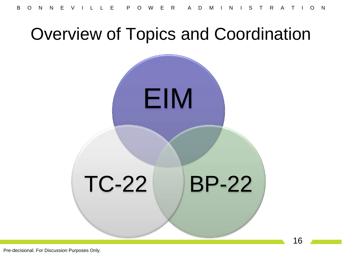#### Overview of Topics and Coordination

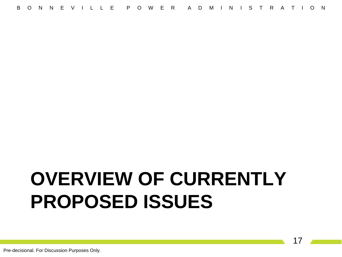## **OVERVIEW OF CURRENTLY PROPOSED ISSUES**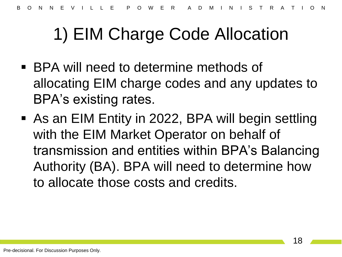#### 1) EIM Charge Code Allocation

- BPA will need to determine methods of allocating EIM charge codes and any updates to BPA's existing rates.
- As an EIM Entity in 2022, BPA will begin settling with the EIM Market Operator on behalf of transmission and entities within BPA's Balancing Authority (BA). BPA will need to determine how to allocate those costs and credits.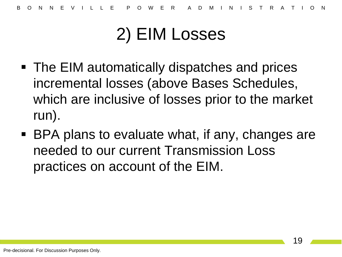#### 2) EIM Losses

- The EIM automatically dispatches and prices incremental losses (above Bases Schedules, which are inclusive of losses prior to the market run).
- BPA plans to evaluate what, if any, changes are needed to our current Transmission Loss practices on account of the EIM.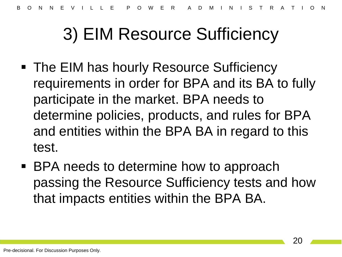#### 3) EIM Resource Sufficiency

- The EIM has hourly Resource Sufficiency requirements in order for BPA and its BA to fully participate in the market. BPA needs to determine policies, products, and rules for BPA and entities within the BPA BA in regard to this test.
- BPA needs to determine how to approach passing the Resource Sufficiency tests and how that impacts entities within the BPA BA.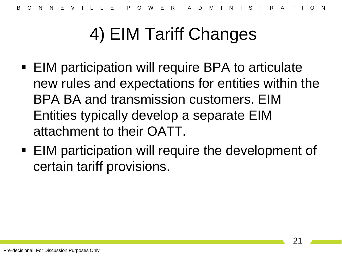#### 4) EIM Tariff Changes

- EIM participation will require BPA to articulate new rules and expectations for entities within the BPA BA and transmission customers. EIM Entities typically develop a separate EIM attachment to their OATT.
- **EIM participation will require the development of** certain tariff provisions.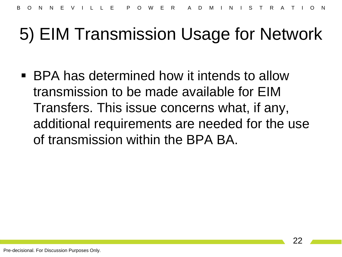#### 5) EIM Transmission Usage for Network

■ BPA has determined how it intends to allow transmission to be made available for EIM Transfers. This issue concerns what, if any, additional requirements are needed for the use of transmission within the BPA BA.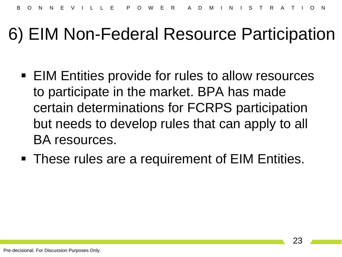#### 6) EIM Non-Federal Resource Participation

- **EIM Entities provide for rules to allow resources** to participate in the market. BPA has made certain determinations for FCRPS participation but needs to develop rules that can apply to all BA resources.
- **These rules are a requirement of EIM Entities.**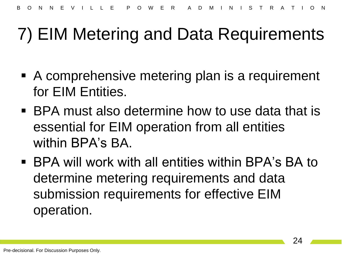#### 7) EIM Metering and Data Requirements

- A comprehensive metering plan is a requirement for EIM Entities.
- BPA must also determine how to use data that is essential for EIM operation from all entities within BPA's BA.
- BPA will work with all entities within BPA's BA to determine metering requirements and data submission requirements for effective EIM operation.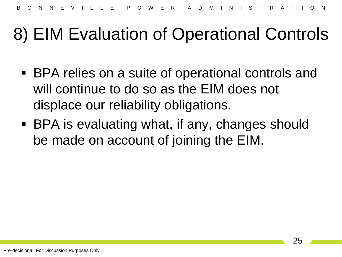#### 8) EIM Evaluation of Operational Controls

- BPA relies on a suite of operational controls and will continue to do so as the EIM does not displace our reliability obligations.
- BPA is evaluating what, if any, changes should be made on account of joining the EIM.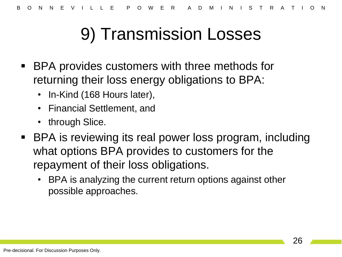#### 9) Transmission Losses

- BPA provides customers with three methods for returning their loss energy obligations to BPA:
	- In-Kind (168 Hours later),
	- Financial Settlement, and
	- through Slice.
- BPA is reviewing its real power loss program, including what options BPA provides to customers for the repayment of their loss obligations.
	- BPA is analyzing the current return options against other possible approaches.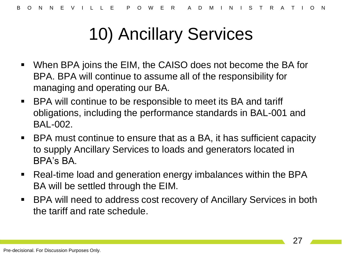#### 10) Ancillary Services

- When BPA joins the EIM, the CAISO does not become the BA for BPA. BPA will continue to assume all of the responsibility for managing and operating our BA.
- BPA will continue to be responsible to meet its BA and tariff obligations, including the performance standards in BAL-001 and BAL-002.
- BPA must continue to ensure that as a BA, it has sufficient capacity to supply Ancillary Services to loads and generators located in BPA's BA.
- Real-time load and generation energy imbalances within the BPA BA will be settled through the EIM.
- BPA will need to address cost recovery of Ancillary Services in both the tariff and rate schedule.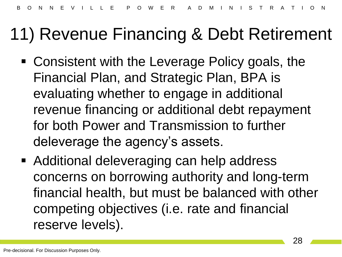#### 11) Revenue Financing & Debt Retirement

- Consistent with the Leverage Policy goals, the Financial Plan, and Strategic Plan, BPA is evaluating whether to engage in additional revenue financing or additional debt repayment for both Power and Transmission to further deleverage the agency's assets.
- Additional deleveraging can help address concerns on borrowing authority and long-term financial health, but must be balanced with other competing objectives (i.e. rate and financial reserve levels).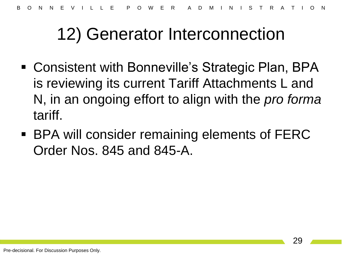#### 12) Generator Interconnection

- Consistent with Bonneville's Strategic Plan, BPA is reviewing its current Tariff Attachments L and N, in an ongoing effort to align with the *pro forma* tariff.
- BPA will consider remaining elements of FERC Order Nos. 845 and 845-A.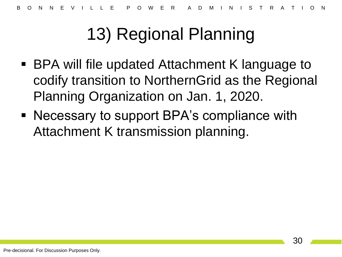#### 13) Regional Planning

- BPA will file updated Attachment K language to codify transition to NorthernGrid as the Regional Planning Organization on Jan. 1, 2020.
- Necessary to support BPA's compliance with Attachment K transmission planning.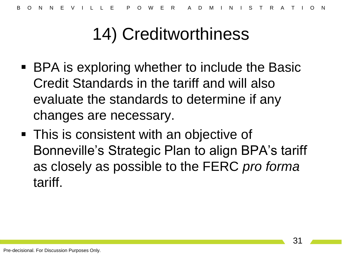#### 14) Creditworthiness

- BPA is exploring whether to include the Basic Credit Standards in the tariff and will also evaluate the standards to determine if any changes are necessary.
- This is consistent with an objective of Bonneville's Strategic Plan to align BPA's tariff as closely as possible to the FERC *pro forma*  tariff.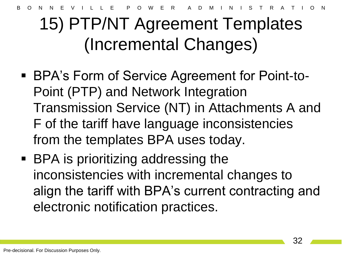B O N N E V I L L E P O W E R A D M I N I S T R A T I O N

#### 15) PTP/NT Agreement Templates (Incremental Changes)

- BPA's Form of Service Agreement for Point-to-Point (PTP) and Network Integration Transmission Service (NT) in Attachments A and F of the tariff have language inconsistencies from the templates BPA uses today.
- BPA is prioritizing addressing the inconsistencies with incremental changes to align the tariff with BPA's current contracting and electronic notification practices.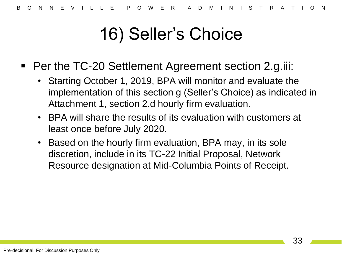#### 16) Seller's Choice

- Per the TC-20 Settlement Agreement section 2.g.iii:
	- Starting October 1, 2019, BPA will monitor and evaluate the implementation of this section g (Seller's Choice) as indicated in Attachment 1, section 2.d hourly firm evaluation.
	- BPA will share the results of its evaluation with customers at least once before July 2020.
	- Based on the hourly firm evaluation, BPA may, in its sole discretion, include in its TC-22 Initial Proposal, Network Resource designation at Mid-Columbia Points of Receipt.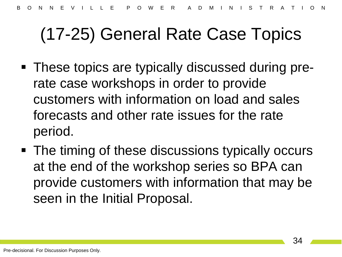#### (17-25) General Rate Case Topics

- These topics are typically discussed during prerate case workshops in order to provide customers with information on load and sales forecasts and other rate issues for the rate period.
- The timing of these discussions typically occurs at the end of the workshop series so BPA can provide customers with information that may be seen in the Initial Proposal.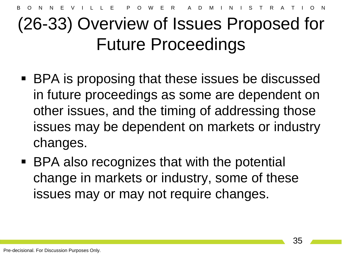#### (26-33) Overview of Issues Proposed for Future Proceedings

- BPA is proposing that these issues be discussed in future proceedings as some are dependent on other issues, and the timing of addressing those issues may be dependent on markets or industry changes.
- BPA also recognizes that with the potential change in markets or industry, some of these issues may or may not require changes.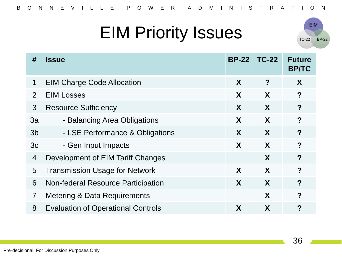#### EIM Priority Issues



| #              | <b>Issue</b>                              | <b>BP-22</b> | <b>TC-22</b> | <b>Future</b><br><b>BP/TC</b> |
|----------------|-------------------------------------------|--------------|--------------|-------------------------------|
| 1              | <b>EIM Charge Code Allocation</b>         | X            | ?            | X                             |
| 2              | <b>EIM Losses</b>                         | X            | X            | $\boldsymbol{?}$              |
| 3              | <b>Resource Sufficiency</b>               | X            | X            | $\overline{?}$                |
| 3a             | - Balancing Area Obligations              | X            | X            | ?                             |
| 3 <sub>b</sub> | - LSE Performance & Obligations           | X            | X            | $\overline{?}$                |
| 3c             | - Gen Input Impacts                       | X            | X            | ?                             |
| $\overline{4}$ | Development of EIM Tariff Changes         |              | X            | ?                             |
| 5              | <b>Transmission Usage for Network</b>     | X            | X            | $\boldsymbol{P}$              |
| 6              | <b>Non-federal Resource Participation</b> | X            | X            | $\boldsymbol{?}$              |
| $\overline{7}$ | Metering & Data Requirements              |              | X            | $\boldsymbol{P}$              |
| 8              | <b>Evaluation of Operational Controls</b> | X            | X            | ?                             |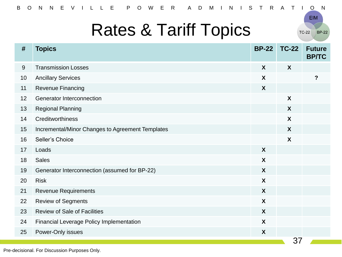#### Rates & Tariff Topics

 $TC-22$ **BP-22** 

**EIM** 

| #  | <b>Topics</b>                                    | <b>BP-22</b>              | <b>TC-22</b>     | <b>Future</b><br><b>BP/TC</b> |
|----|--------------------------------------------------|---------------------------|------------------|-------------------------------|
| 9  | <b>Transmission Losses</b>                       | X                         | X                |                               |
| 10 | <b>Ancillary Services</b>                        | X                         |                  | $\overline{?}$                |
| 11 | Revenue Financing                                | $\boldsymbol{X}$          |                  |                               |
| 12 | <b>Generator Interconnection</b>                 |                           | $\boldsymbol{X}$ |                               |
| 13 | <b>Regional Planning</b>                         |                           | $\boldsymbol{X}$ |                               |
| 14 | Creditworthiness                                 |                           | $\boldsymbol{X}$ |                               |
| 15 | Incremental/Minor Changes to Agreement Templates |                           | X                |                               |
| 16 | Seller's Choice                                  |                           | $\boldsymbol{X}$ |                               |
| 17 | Loads                                            | $\boldsymbol{X}$          |                  |                               |
| 18 | <b>Sales</b>                                     | X                         |                  |                               |
| 19 | Generator Interconnection (assumed for BP-22)    | $\boldsymbol{X}$          |                  |                               |
| 20 | <b>Risk</b>                                      | X                         |                  |                               |
| 21 | <b>Revenue Requirements</b>                      | $\boldsymbol{X}$          |                  |                               |
| 22 | <b>Review of Segments</b>                        | $\boldsymbol{X}$          |                  |                               |
| 23 | <b>Review of Sale of Facilities</b>              | $\boldsymbol{X}$          |                  |                               |
| 24 | <b>Financial Leverage Policy Implementation</b>  | X                         |                  |                               |
| 25 | Power-Only issues                                | $\boldsymbol{\mathsf{X}}$ |                  |                               |
|    |                                                  |                           | 37               |                               |

Pre-decisional. For Discussion Purposes Only.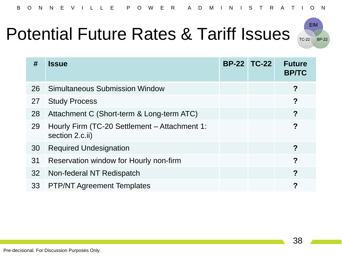#### Potential Future Rates & Tariff Issues



| #  | <b>Issue</b>                                                     | <b>BP-22 TC-22</b> | <b>Future</b><br><b>BP/TC</b> |
|----|------------------------------------------------------------------|--------------------|-------------------------------|
|    |                                                                  |                    |                               |
| 26 | <b>Simultaneous Submission Window</b>                            |                    | ?                             |
| 27 | <b>Study Process</b>                                             |                    | ?                             |
| 28 | Attachment C (Short-term & Long-term ATC)                        |                    | ?                             |
| 29 | Hourly Firm (TC-20 Settlement - Attachment 1:<br>section 2.c.ii) |                    | ?                             |
| 30 | <b>Required Undesignation</b>                                    |                    | ?                             |
| 31 | Reservation window for Hourly non-firm                           |                    | ?                             |
| 32 | Non-federal NT Redispatch                                        |                    | ?                             |
| 33 | <b>PTP/NT Agreement Templates</b>                                |                    | ?                             |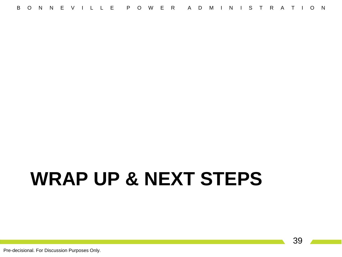# **WRAP UP & NEXT STEPS**

Pre-decisional. For Discussion Purposes Only.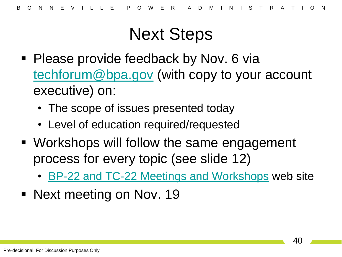#### Next Steps

- **Please provide feedback by Nov. 6 vially** [techforum@bpa.gov](mailto:techforum@bpa.gov) (with copy to your account executive) on:
	- The scope of issues presented today
	- Level of education required/requested
- Workshops will follow the same engagement process for every topic (see slide 12)
	- [BP-22 and TC-22 Meetings and Workshops](https://www.bpa.gov/Finance/RateCases/BP-22-Rate-Case/Pages/Meetings-and-Workshops.aspx) web site
- Next meeting on Nov. 19